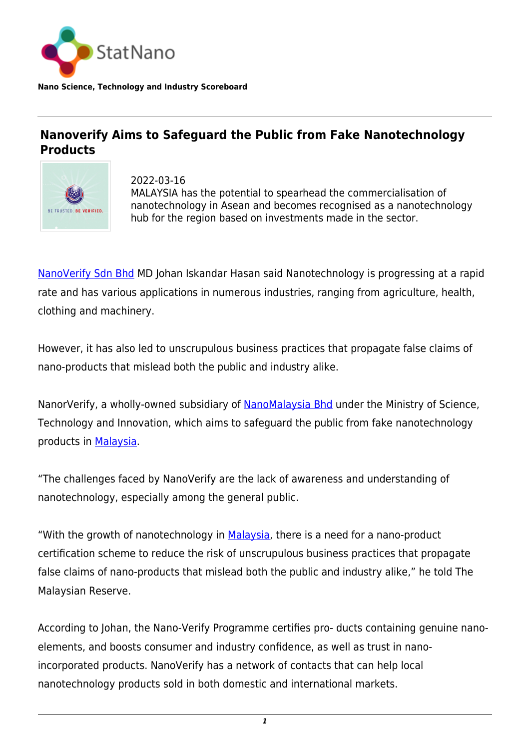

**Nano Science, Technology and Industry Scoreboard**

## **Nanoverify Aims to Safeguard the Public from Fake Nanotechnology Products**



2022-03-16 MALAYSIA has the potential to spearhead the commercialisation of nanotechnology in Asean and becomes recognised as a nanotechnology hub for the region based on investments made in the sector.

[NanoVerify Sdn Bhd](https://nanoverify.com.my/) MD Johan Iskandar Hasan said Nanotechnology is progressing at a rapid rate and has various applications in numerous industries, ranging from agriculture, health, clothing and machinery.

However, it has also led to unscrupulous business practices that propagate false claims of nano-products that mislead both the public and industry alike.

NanorVerify, a wholly-owned subsidiary of [NanoMalaysia Bhd](https://nanomalaysia.com.my/) under the Ministry of Science, Technology and Innovation, which aims to safeguard the public from fake nanotechnology products in [Malaysia.](http://statnano.com/country/Malaysia)

"The challenges faced by NanoVerify are the lack of awareness and understanding of nanotechnology, especially among the general public.

"With the growth of nanotechnology in [Malaysia](http://statnano.com/country/Malaysia), there is a need for a nano-product certification scheme to reduce the risk of unscrupulous business practices that propagate false claims of nano-products that mislead both the public and industry alike," he told The Malaysian Reserve.

According to Johan, the Nano-Verify Programme certifies pro- ducts containing genuine nanoelements, and boosts consumer and industry confidence, as well as trust in nanoincorporated products. NanoVerify has a network of contacts that can help local nanotechnology products sold in both domestic and international markets.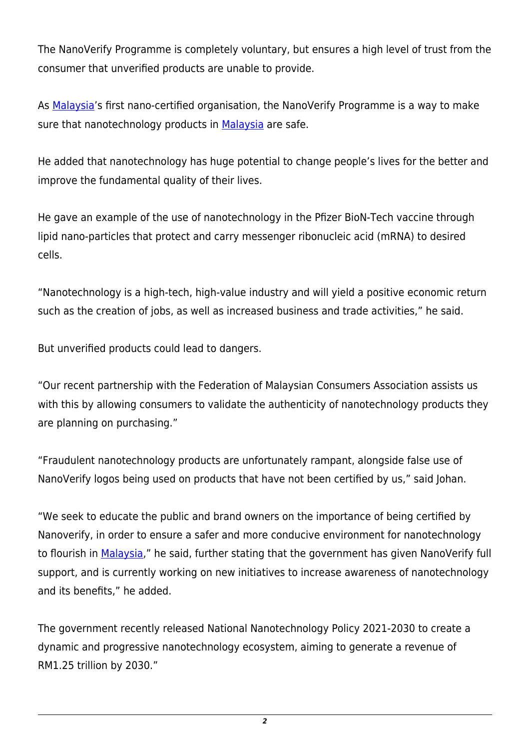The NanoVerify Programme is completely voluntary, but ensures a high level of trust from the consumer that unverified products are unable to provide.

As [Malaysia](http://statnano.com/country/Malaysia)'s first nano-certified organisation, the NanoVerify Programme is a way to make sure that nanotechnology products in [Malaysia](http://statnano.com/country/Malaysia) are safe.

He added that nanotechnology has huge potential to change people's lives for the better and improve the fundamental quality of their lives.

He gave an example of the use of nanotechnology in the Pfizer BioN-Tech vaccine through lipid nano-particles that protect and carry messenger ribonucleic acid (mRNA) to desired cells.

"Nanotechnology is a high-tech, high-value industry and will yield a positive economic return such as the creation of jobs, as well as increased business and trade activities," he said.

But unverified products could lead to dangers.

"Our recent partnership with the Federation of Malaysian Consumers Association assists us with this by allowing consumers to validate the authenticity of nanotechnology products they are planning on purchasing."

"Fraudulent nanotechnology products are unfortunately rampant, alongside false use of NanoVerify logos being used on products that have not been certified by us," said Johan.

"We seek to educate the public and brand owners on the importance of being certified by Nanoverify, in order to ensure a safer and more conducive environment for nanotechnology to flourish in [Malaysia,](http://statnano.com/country/Malaysia)" he said, further stating that the government has given NanoVerify full support, and is currently working on new initiatives to increase awareness of nanotechnology and its benefits," he added.

The government recently released National Nanotechnology Policy 2021-2030 to create a dynamic and progressive nanotechnology ecosystem, aiming to generate a revenue of RM1.25 trillion by 2030."